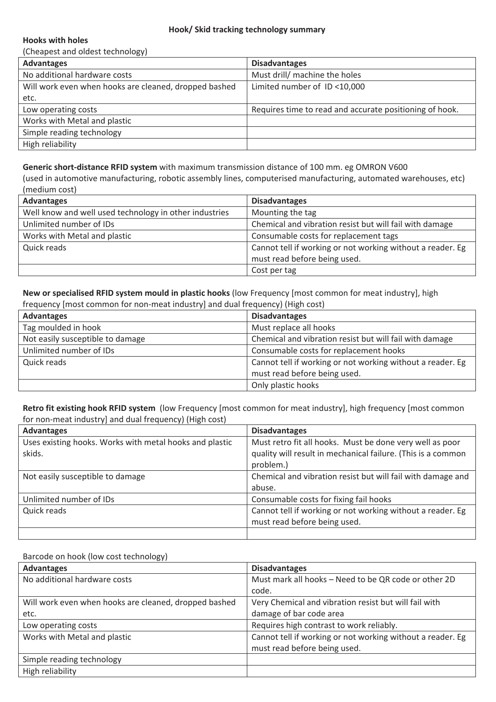## **Hooks with holes**

(Cheapest and oldest technology)

| <b>Advantages</b>                                     | <b>Disadvantages</b>                                    |
|-------------------------------------------------------|---------------------------------------------------------|
| No additional hardware costs                          | Must drill/ machine the holes                           |
| Will work even when hooks are cleaned, dropped bashed | Limited number of ID <10,000                            |
| etc.                                                  |                                                         |
| Low operating costs                                   | Requires time to read and accurate positioning of hook. |
| Works with Metal and plastic                          |                                                         |
| Simple reading technology                             |                                                         |
| High reliability                                      |                                                         |

**Generic short-distance RFID system** with maximum transmission distance of 100 mm. eg OMRON V600

(used in automotive manufacturing, robotic assembly lines, computerised manufacturing, automated warehouses, etc) (medium cost)

| <b>Advantages</b>                                      | <b>Disadvantages</b>                                       |
|--------------------------------------------------------|------------------------------------------------------------|
| Well know and well used technology in other industries | Mounting the tag                                           |
| Unlimited number of IDs                                | Chemical and vibration resist but will fail with damage    |
| Works with Metal and plastic                           | Consumable costs for replacement tags                      |
| Quick reads                                            | Cannot tell if working or not working without a reader. Eg |
|                                                        | must read before being used.                               |
|                                                        | Cost per tag                                               |

**New or specialised RFID system mould in plastic hooks** (low Frequency [most common for meat industry], high frequency [most common for non-meat industry] and dual frequency) (High cost)

| <b>Advantages</b>                | <b>Disadvantages</b>                                                                       |
|----------------------------------|--------------------------------------------------------------------------------------------|
| Tag moulded in hook              | Must replace all hooks                                                                     |
| Not easily susceptible to damage | Chemical and vibration resist but will fail with damage                                    |
| Unlimited number of IDs          | Consumable costs for replacement hooks                                                     |
| Quick reads                      | Cannot tell if working or not working without a reader. Eg<br>must read before being used. |
|                                  | Only plastic hooks                                                                         |

**Retro fit existing hook RFID system**(low Frequency [most common for meat industry], high frequency [most common for non-meat industry] and dual frequency) (High cost)

| <b>Advantages</b>                                       | <b>Disadvantages</b>                                         |
|---------------------------------------------------------|--------------------------------------------------------------|
| Uses existing hooks. Works with metal hooks and plastic | Must retro fit all hooks. Must be done very well as poor     |
| skids.                                                  | quality will result in mechanical failure. (This is a common |
|                                                         | problem.)                                                    |
| Not easily susceptible to damage                        | Chemical and vibration resist but will fail with damage and  |
|                                                         | abuse.                                                       |
| Unlimited number of IDs                                 | Consumable costs for fixing fail hooks                       |
| Quick reads                                             | Cannot tell if working or not working without a reader. Eg   |
|                                                         | must read before being used.                                 |
|                                                         |                                                              |

## Barcode on hook (low cost technology)

| <b>Advantages</b>                                     | <b>Disadvantages</b>                                       |
|-------------------------------------------------------|------------------------------------------------------------|
| No additional hardware costs                          | Must mark all hooks - Need to be QR code or other 2D       |
|                                                       | code.                                                      |
| Will work even when hooks are cleaned, dropped bashed | Very Chemical and vibration resist but will fail with      |
| etc.                                                  | damage of bar code area                                    |
| Low operating costs                                   | Requires high contrast to work reliably.                   |
| Works with Metal and plastic                          | Cannot tell if working or not working without a reader. Eg |
|                                                       | must read before being used.                               |
| Simple reading technology                             |                                                            |
| High reliability                                      |                                                            |